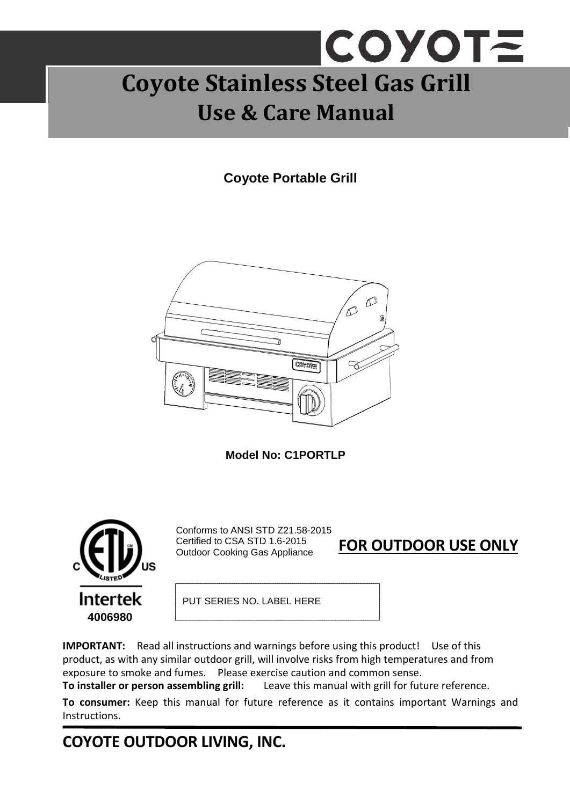# **COYOT= Coyote Stainless Steel Gas Grill Coyote Stainless Steel Gas Grill Use & Care Manual Use & Care Manual**

### **Coyote Portable Grill**



**Model No: C1PORTLP**



Conforms to ANSI STD Z21.58-2015 Certified to CSA STD 1.6-2015 Outdoor Cooking Gas Appliance

### **FOR OUTDOOR USE ONLY**

PUT SERIES NO. LABEL HERE

**IMPORTANT:** Read all instructions and warnings before using this product! Use of this product, as with any similar outdoor grill, will involve risks from high temperatures and from exposure to smoke and fumes. Please exercise caution and common sense.

**To installer or person assembling grill:** Leave this manual with grill for future reference.

**To consumer:** Keep this manual for future reference as it contains important Warnings and Instructions.

### **COYOTE OUTDOOR LIVING, INC.**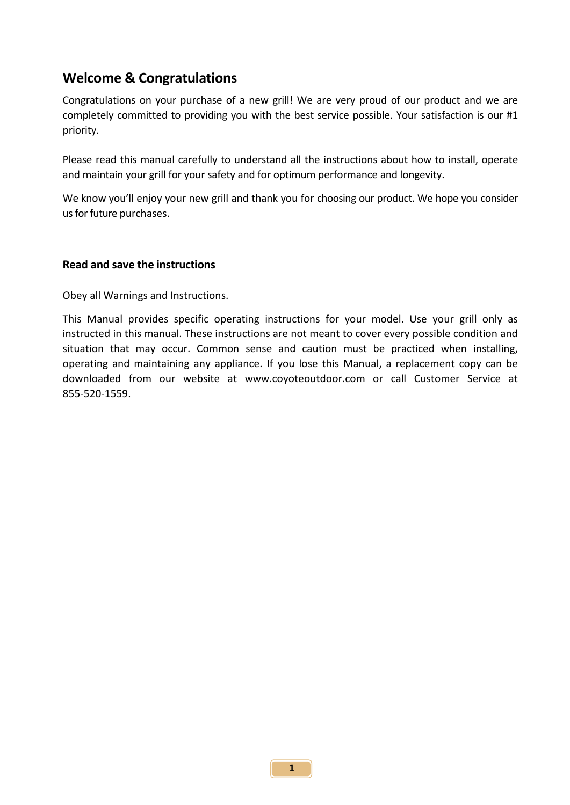#### **Welcome & Congratulations**

Congratulations on your purchase of a new grill! We are very proud of our product and we are completely committed to providing you with the best service possible. Your satisfaction is our #1 priority.

Please read this manual carefully to understand all the instructions about how to install, operate and maintain your grill for your safety and for optimum performance and longevity.

We know you'll enjoy your new grill and thank you for choosing our product. We hope you consider us for future purchases.

#### **Read and save the instructions**

Obey all Warnings and Instructions.

This Manual provides specific operating instructions for your model. Use your grill only as instructed in this manual. These instructions are not meant to cover every possible condition and situation that may occur. Common sense and caution must be practiced when installing, operating and maintaining any appliance. If you lose this Manual, a replacement copy can be downloaded from our website at www.coyoteoutdoor.com or call Customer Service at 855-520-1559.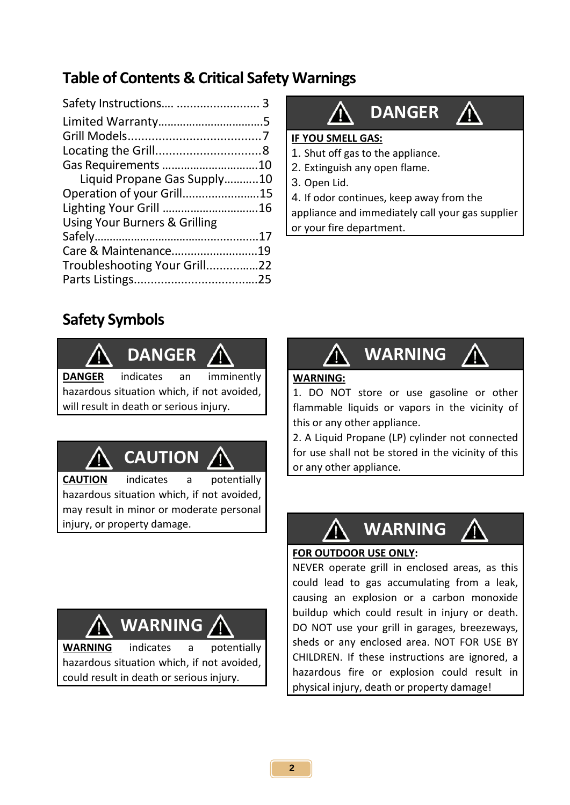### **Table of Contents & Critical Safety Warnings**

| Safety Instructions  3        |  |
|-------------------------------|--|
|                               |  |
|                               |  |
|                               |  |
| Gas Requirements 10           |  |
| Liquid Propane Gas Supply10   |  |
| Operation of your Grill15     |  |
| Lighting Your Grill 16        |  |
| Using Your Burners & Grilling |  |
|                               |  |
| Care & Maintenance19          |  |
| Troubleshooting Your Grill22  |  |
|                               |  |
|                               |  |

#### **DANGER AN** Æ

#### **IF YOU SMELL GAS:**

- 1. Shut off gas to the appliance.
- 2. Extinguish any open flame.
- 3. Open Lid.

4. If odor continues, keep away from the

appliance and immediately call your gas supplier or your fire department.

### **Safety Symbols**



## **DANGER**

**DANGER** indicates an imminently hazardous situation which, if not avoided, will result in death or serious injury.

## **CAUTION**

**CAUTION** indicates a potentially hazardous situation which, if not avoided, may result in minor or moderate personal injury, or property damage.<br>**WARNING** 

## **WARNING**

**WARNING** indicates a potentially hazardous situation which, if not avoided, could result in death or serious injury.

**WARNING**

#### **WARNING:**

1. DO NOT store or use gasoline or other flammable liquids or vapors in the vicinity of this or any other appliance.

2. A Liquid Propane (LP) cylinder not connected for use shall not be stored in the vicinity of this or any other appliance.



#### **FOR OUTDOOR USE ONLY:**

NEVER operate grill in enclosed areas, as this could lead to gas accumulating from a leak, causing an explosion or a carbon monoxide buildup which could result in injury or death. DO NOT use your grill in garages, breezeways, sheds or any enclosed area. NOT FOR USE BY CHILDREN. If these instructions are ignored, a hazardous fire or explosion could result in physical injury, death or property damage!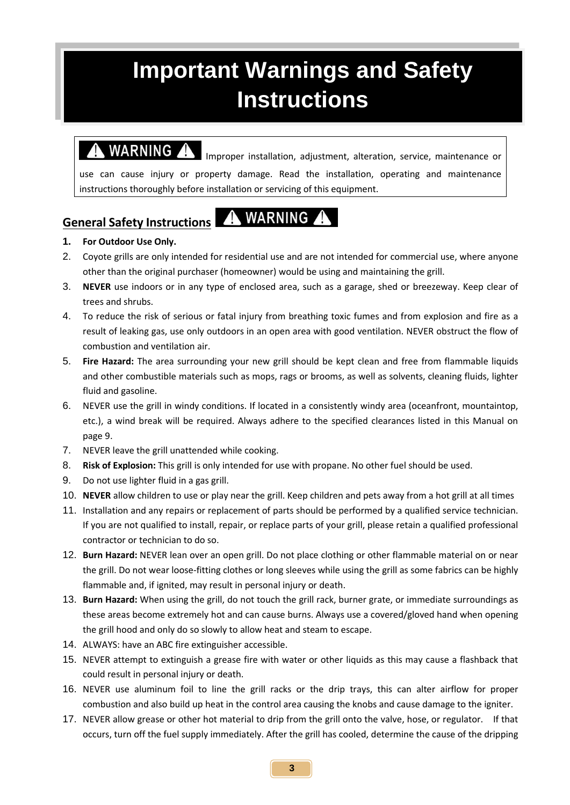## **Important Warnings and Safety Instructions**

WARNING A Improper installation, adjustment, alteration, service, maintenance or use can cause injury or property damage. Read the installation, operating and maintenance instructions thoroughly before installation or servicing of this equipment.

#### A WARNING A **General Safety Instructions**

#### **1. For Outdoor Use Only.**

- 2. Coyote grills are only intended for residential use and are not intended for commercial use, where anyone other than the original purchaser (homeowner) would be using and maintaining the grill.
- 3. **NEVER** use indoors or in any type of enclosed area, such as a garage, shed or breezeway. Keep clear of trees and shrubs.
- 4. To reduce the risk of serious or fatal injury from breathing toxic fumes and from explosion and fire as a result of leaking gas, use only outdoors in an open area with good ventilation. NEVER obstruct the flow of combustion and ventilation air.
- 5. **Fire Hazard:** The area surrounding your new grill should be kept clean and free from flammable liquids and other combustible materials such as mops, rags or brooms, as well as solvents, cleaning fluids, lighter fluid and gasoline.
- 6. NEVER use the grill in windy conditions. If located in a consistently windy area (oceanfront, mountaintop, etc.), a wind break will be required. Always adhere to the specified clearances listed in this Manual on page 9.
- 7. NEVER leave the grill unattended while cooking.
- 8. **Risk of Explosion:** This grill is only intended for use with propane. No other fuel should be used.
- 9. Do not use lighter fluid in a gas grill.
- 10. **NEVER** allow children to use or play near the grill. Keep children and pets away from a hot grill at all times
- 11. Installation and any repairs or replacement of parts should be performed by a qualified service technician. If you are not qualified to install, repair, or replace parts of your grill, please retain a qualified professional contractor or technician to do so.
- 12. **Burn Hazard:** NEVER lean over an open grill. Do not place clothing or other flammable material on or near the grill. Do not wear loose-fitting clothes or long sleeves while using the grill as some fabrics can be highly flammable and, if ignited, may result in personal injury or death.
- 13. **Burn Hazard:** When using the grill, do not touch the grill rack, burner grate, or immediate surroundings as these areas become extremely hot and can cause burns. Always use a covered/gloved hand when opening the grill hood and only do so slowly to allow heat and steam to escape.
- 14. ALWAYS: have an ABC fire extinguisher accessible.
- 15. NEVER attempt to extinguish a grease fire with water or other liquids as this may cause a flashback that could result in personal injury or death.
- 16. NEVER use aluminum foil to line the grill racks or the drip trays, this can alter airflow for proper combustion and also build up heat in the control area causing the knobs and cause damage to the igniter.
- 17. NEVER allow grease or other hot material to drip from the grill onto the valve, hose, or regulator. If that occurs, turn off the fuel supply immediately. After the grill has cooled, determine the cause of the dripping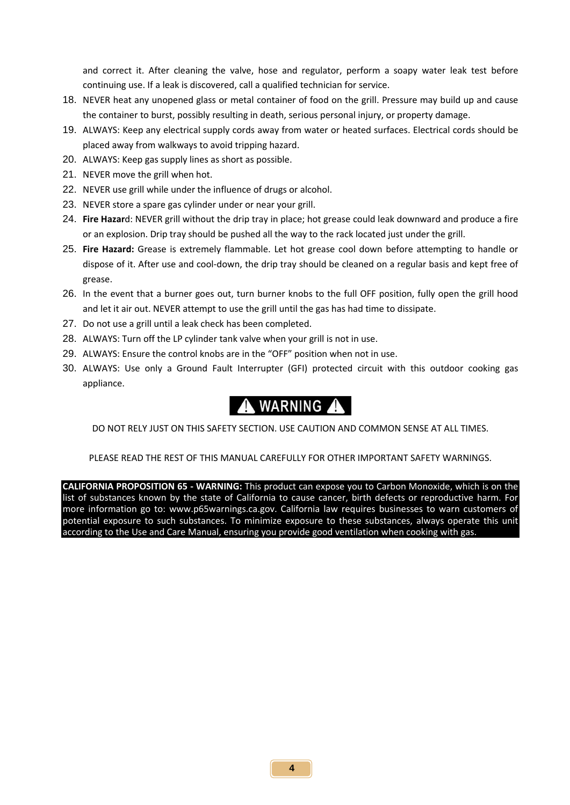and correct it. After cleaning the valve, hose and regulator, perform a soapy water leak test before continuing use. If a leak is discovered, call a qualified technician for service.

- 18. NEVER heat any unopened glass or metal container of food on the grill. Pressure may build up and cause the container to burst, possibly resulting in death, serious personal injury, or property damage.
- 19. ALWAYS: Keep any electrical supply cords away from water or heated surfaces. Electrical cords should be placed away from walkways to avoid tripping hazard.
- 20. ALWAYS: Keep gas supply lines as short as possible.
- 21. NEVER move the grill when hot.
- 22. NEVER use grill while under the influence of drugs or alcohol.
- 23. NEVER store a spare gas cylinder under or near your grill.
- 24. **Fire Hazar**d: NEVER grill without the drip tray in place; hot grease could leak downward and produce a fire or an explosion. Drip tray should be pushed all the way to the rack located just under the grill.
- 25. **Fire Hazard:** Grease is extremely flammable. Let hot grease cool down before attempting to handle or dispose of it. After use and cool-down, the drip tray should be cleaned on a regular basis and kept free of grease.
- 26. In the event that a burner goes out, turn burner knobs to the full OFF position, fully open the grill hood and let it air out. NEVER attempt to use the grill until the gas has had time to dissipate.
- 27. Do not use a grill until a leak check has been completed.
- 28. ALWAYS: Turn off the LP cylinder tank valve when your grill is not in use.
- 29. ALWAYS: Ensure the control knobs are in the "OFF" position when not in use.
- 30. ALWAYS: Use only a Ground Fault Interrupter (GFI) protected circuit with this outdoor cooking gas appliance.

### A WARNING A

DO NOT RELY JUST ON THIS SAFETY SECTION. USE CAUTION AND COMMON SENSE AT ALL TIMES.

PLEASE READ THE REST OF THIS MANUAL CAREFULLY FOR OTHER IMPORTANT SAFETY WARNINGS.

**CALIFORNIA PROPOSITION 65 - WARNING:** This product can expose you to Carbon Monoxide, which is on the list of substances known by the state of California to cause cancer, birth defects or reproductive harm. For more information go to: www.p65warnings.ca.gov. California law requires businesses to warn customers of potential exposure to such substances. To minimize exposure to these substances, always operate this unit according to the Use and Care Manual, ensuring you provide good ventilation when cooking with gas.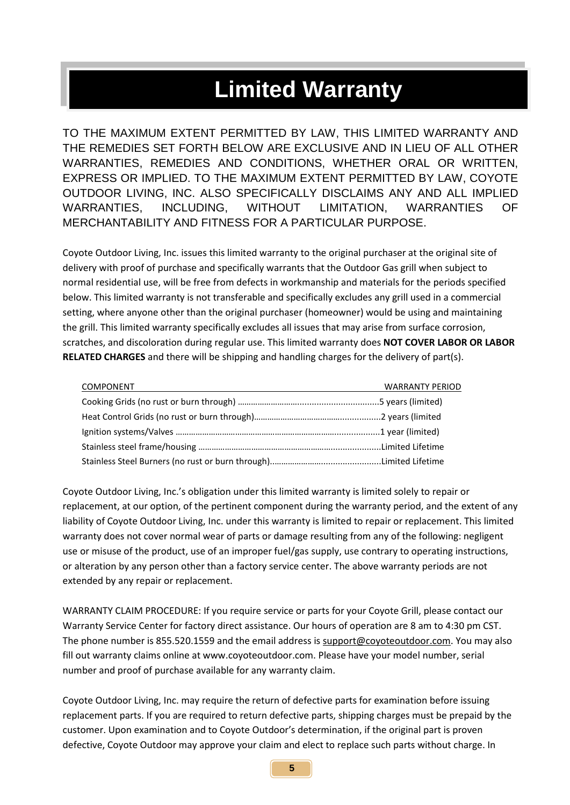## **Limited Warranty**

TO THE MAXIMUM EXTENT PERMITTED BY LAW, THIS LIMITED WARRANTY AND THE REMEDIES SET FORTH BELOW ARE EXCLUSIVE AND IN LIEU OF ALL OTHER WARRANTIES, REMEDIES AND CONDITIONS, WHETHER ORAL OR WRITTEN, EXPRESS OR IMPLIED. TO THE MAXIMUM EXTENT PERMITTED BY LAW, COYOTE OUTDOOR LIVING, INC. ALSO SPECIFICALLY DISCLAIMS ANY AND ALL IMPLIED WARRANTIES, INCLUDING, WITHOUT LIMITATION, WARRANTIES OF MERCHANTABILITY AND FITNESS FOR A PARTICULAR PURPOSE.

Coyote Outdoor Living, Inc. issues this limited warranty to the original purchaser at the original site of delivery with proof of purchase and specifically warrants that the Outdoor Gas grill when subject to normal residential use, will be free from defects in workmanship and materials for the periods specified below. This limited warranty is not transferable and specifically excludes any grill used in a commercial setting, where anyone other than the original purchaser (homeowner) would be using and maintaining the grill. This limited warranty specifically excludes all issues that may arise from surface corrosion, scratches, and discoloration during regular use. This limited warranty does **NOT COVER LABOR OR LABOR RELATED CHARGES** and there will be shipping and handling charges for the delivery of part(s).

| COMPONENT | <b>WARRANTY PERIOD</b> |
|-----------|------------------------|
|           |                        |
|           |                        |
|           |                        |
|           |                        |
|           |                        |

Coyote Outdoor Living, Inc.'s obligation under this limited warranty is limited solely to repair or replacement, at our option, of the pertinent component during the warranty period, and the extent of any liability of Coyote Outdoor Living, Inc. under this warranty is limited to repair or replacement. This limited warranty does not cover normal wear of parts or damage resulting from any of the following: negligent use or misuse of the product, use of an improper fuel/gas supply, use contrary to operating instructions, or alteration by any person other than a factory service center. The above warranty periods are not extended by any repair or replacement.

WARRANTY CLAIM PROCEDURE: If you require service or parts for your Coyote Grill, please contact our Warranty Service Center for factory direct assistance. Our hours of operation are 8 am to 4:30 pm CST. The phone number is 855.520.1559 and the email address is [support@coyoteoutdoor.com.](mailto:support@coyoteoutdoor.com) You may also fill out warranty claims online at www.coyoteoutdoor.com. Please have your model number, serial number and proof of purchase available for any warranty claim.

Coyote Outdoor Living, Inc. may require the return of defective parts for examination before issuing replacement parts. If you are required to return defective parts, shipping charges must be prepaid by the customer. Upon examination and to Coyote Outdoor's determination, if the original part is proven defective, Coyote Outdoor may approve your claim and elect to replace such parts without charge. In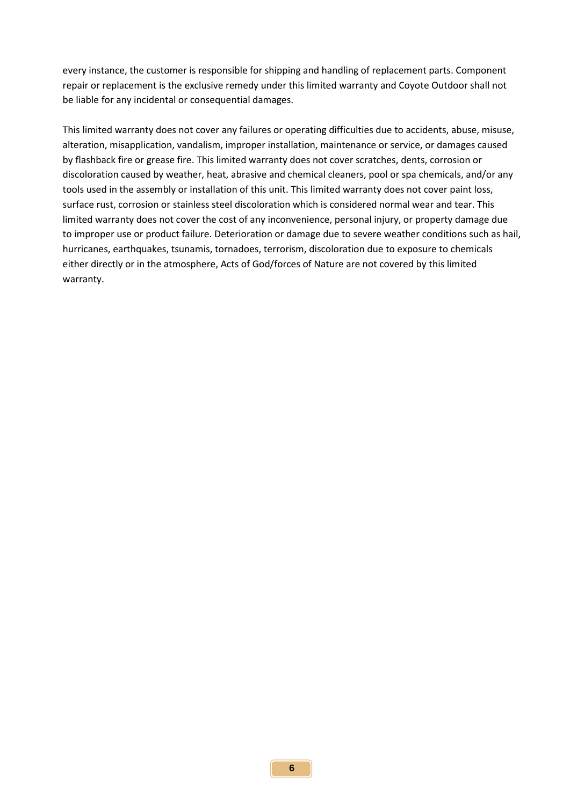every instance, the customer is responsible for shipping and handling of replacement parts. Component repair or replacement is the exclusive remedy under this limited warranty and Coyote Outdoor shall not be liable for any incidental or consequential damages.

This limited warranty does not cover any failures or operating difficulties due to accidents, abuse, misuse, alteration, misapplication, vandalism, improper installation, maintenance or service, or damages caused by flashback fire or grease fire. This limited warranty does not cover scratches, dents, corrosion or discoloration caused by weather, heat, abrasive and chemical cleaners, pool or spa chemicals, and/or any tools used in the assembly or installation of this unit. This limited warranty does not cover paint loss, surface rust, corrosion or stainless steel discoloration which is considered normal wear and tear. This limited warranty does not cover the cost of any inconvenience, personal injury, or property damage due to improper use or product failure. Deterioration or damage due to severe weather conditions such as hail, hurricanes, earthquakes, tsunamis, tornadoes, terrorism, discoloration due to exposure to chemicals either directly or in the atmosphere, Acts of God/forces of Nature are not covered by this limited warranty.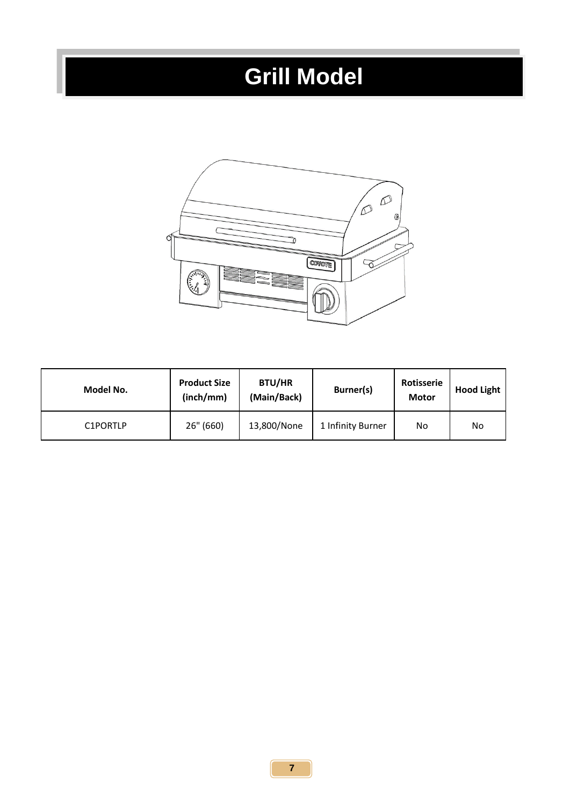## **Grill Model**



| Model No. | <b>Product Size</b><br>(inch/mm) | <b>BTU/HR</b><br>(Main/Back) | Burner(s)         | Rotisserie<br>Motor | <b>Hood Light</b> |
|-----------|----------------------------------|------------------------------|-------------------|---------------------|-------------------|
| C1PORTLP  | 26" (660)                        | 13,800/None                  | 1 Infinity Burner | No                  | No                |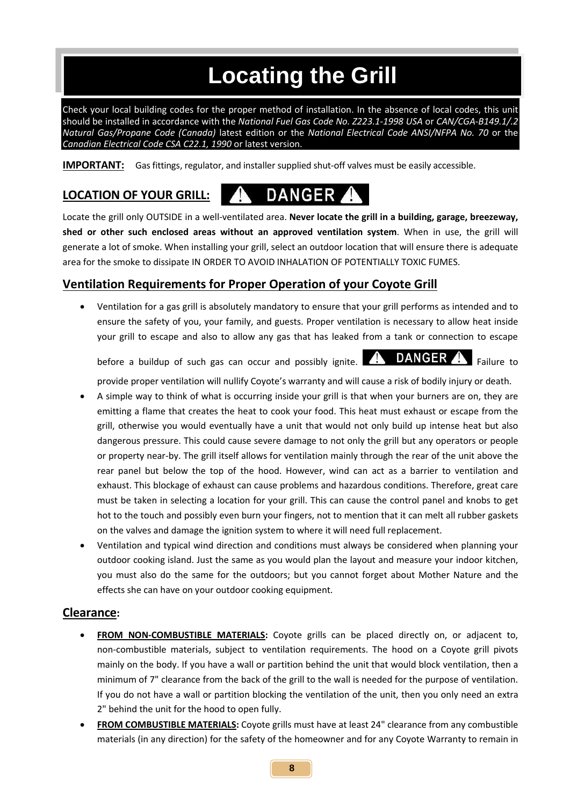## **Locating the Grill**

Check your local building codes for the proper method of installation. In the absence of local codes, this unit should be installed in accordance with the *National Fuel Gas Code No. Z223.1-1998 USA* or *CAN/CGA-B149.1/.2 Natural Gas/Propane Code (Canada)* latest edition or the *National Electrical Code ANSI/NFPA No. 70* or the *Canadian Electrical Code CSA C22.1, 1990* or latest version.

**IMPORTANT:** Gas fittings, regulator, and installer supplied shut-off valves must be easily accessible.

#### **LOCATION OF YOUR GRILL:**

**DANGER** 

Locate the grill only OUTSIDE in a well-ventilated area. **Never locate the grill in a building, garage, breezeway, shed or other such enclosed areas without an approved ventilation system**. When in use, the grill will generate a lot of smoke. When installing your grill, select an outdoor location that will ensure there is adequate area for the smoke to dissipate IN ORDER TO AVOID INHALATION OF POTENTIALLY TOXIC FUMES.

#### **Ventilation Requirements for Proper Operation of your Coyote Grill**

• Ventilation for a gas grill is absolutely mandatory to ensure that your grill performs as intended and to ensure the safety of you, your family, and guests. Proper ventilation is necessary to allow heat inside your grill to escape and also to allow any gas that has leaked from a tank or connection to escape

before a buildup of such gas can occur and possibly ignite.  $\Box$  DANGER  $\Box$  Failure to

provide proper ventilation will nullify Coyote's warranty and will cause a risk of bodily injury or death.

- A simple way to think of what is occurring inside your grill is that when your burners are on, they are emitting a flame that creates the heat to cook your food. This heat must exhaust or escape from the grill, otherwise you would eventually have a unit that would not only build up intense heat but also dangerous pressure. This could cause severe damage to not only the grill but any operators or people or property near-by. The grill itself allows for ventilation mainly through the rear of the unit above the rear panel but below the top of the hood. However, wind can act as a barrier to ventilation and exhaust. This blockage of exhaust can cause problems and hazardous conditions. Therefore, great care must be taken in selecting a location for your grill. This can cause the control panel and knobs to get hot to the touch and possibly even burn your fingers, not to mention that it can melt all rubber gaskets on the valves and damage the ignition system to where it will need full replacement.
- Ventilation and typical wind direction and conditions must always be considered when planning your outdoor cooking island. Just the same as you would plan the layout and measure your indoor kitchen, you must also do the same for the outdoors; but you cannot forget about Mother Nature and the effects she can have on your outdoor cooking equipment.

#### **Clearance:**

- **FROM NON-COMBUSTIBLE MATERIALS:** Coyote grills can be placed directly on, or adjacent to, non-combustible materials, subject to ventilation requirements. The hood on a Coyote grill pivots mainly on the body. If you have a wall or partition behind the unit that would block ventilation, then a minimum of 7" clearance from the back of the grill to the wall is needed for the purpose of ventilation. If you do not have a wall or partition blocking the ventilation of the unit, then you only need an extra 2" behind the unit for the hood to open fully.
- **FROM COMBUSTIBLE MATERIALS:** Coyote grills must have at least 24" clearance from any combustible materials (in any direction) for the safety of the homeowner and for any Coyote Warranty to remain in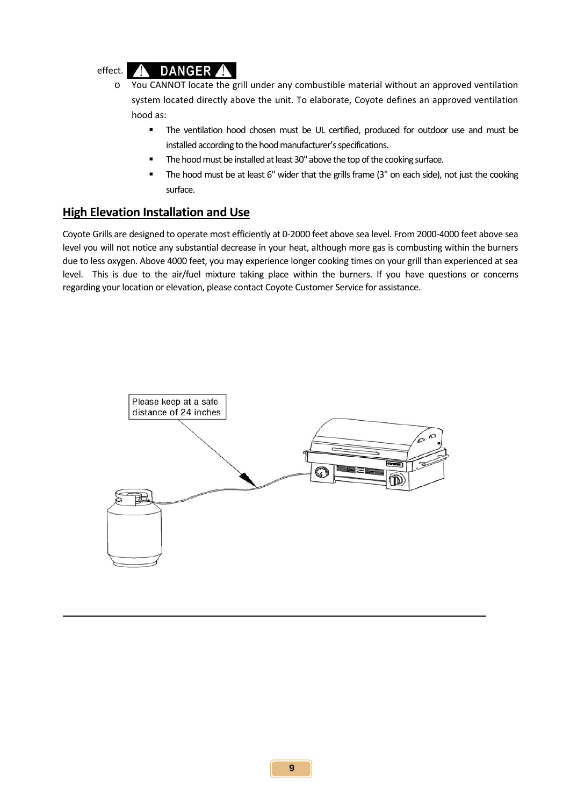

- o You CANNOT locate the grill under any combustible material without an approved ventilation system located directly above the unit. To elaborate, Coyote defines an approved ventilation hood as:
	- The ventilation hood chosen must be UL certified, produced for outdoor use and must be installed according to the hood manufacturer's specifications.
	- The hood must be installed at least 30" above the top of the cooking surface.
	- The hood must be at least 6" wider that the grills frame (3" on each side), not just the cooking surface.

#### **High Elevation Installation and Use**

Coyote Grills are designed to operate most efficiently at 0-2000 feet above sea level. From 2000-4000 feet above sea level you will not notice any substantial decrease in your heat, although more gas is combusting within the burners due to less oxygen. Above 4000 feet, you may experience longer cooking times on your grill than experienced at sea level. This is due to the air/fuel mixture taking place within the burners. If you have questions or concerns regarding your location or elevation, please contact Coyote Customer Service for assistance.

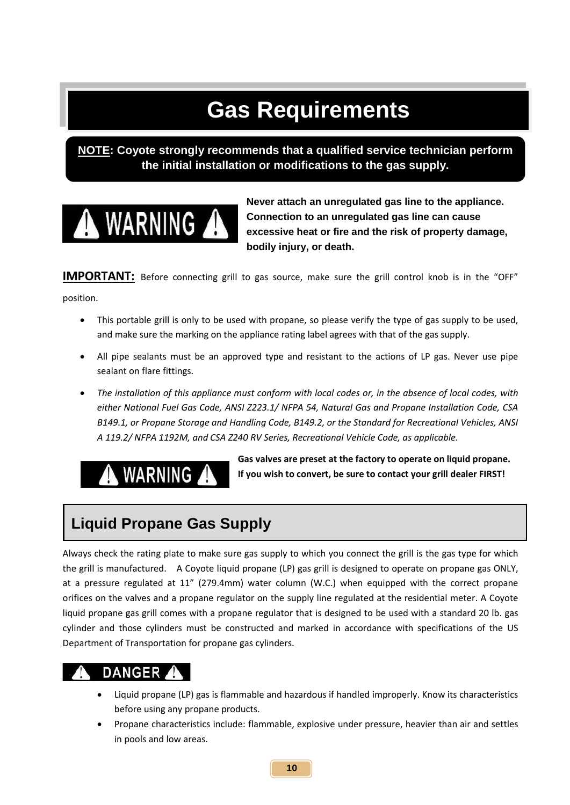## **Gas Requirements**

#### **NOTE: Coyote strongly recommends that a qualified service technician perform the initial installation or modifications to the gas supply.**



**Never attach an unregulated gas line to the appliance. Connection to an unregulated gas line can cause excessive heat or fire and the risk of property damage, bodily injury, or death.**

**IMPORTANT:** Before connecting grill to gas source, make sure the grill control knob is in the "OFF"

position.

- This portable grill is only to be used with propane, so please verify the type of gas supply to be used, and make sure the marking on the appliance rating label agrees with that of the gas supply.
- All pipe sealants must be an approved type and resistant to the actions of LP gas. Never use pipe sealant on flare fittings.
- *The installation of this appliance must conform with local codes or, in the absence of local codes, with either National Fuel Gas Code, ANSI Z223.1/ NFPA 54, Natural Gas and Propane Installation Code, CSA B149.1, or Propane Storage and Handling Code, B149.2, or the Standard for Recreational Vehicles, ANSI A 119.2/ NFPA 1192M, and CSA Z240 RV Series, Recreational Vehicle Code, as applicable.*



**Gas valves are preset at the factory to operate on liquid propane. If you wish to convert, be sure to contact your grill dealer FIRST!**

### **Liquid Propane Gas Supply**

Always check the rating plate to make sure gas supply to which you connect the grill is the gas type for which the grill is manufactured. A Coyote liquid propane (LP) gas grill is designed to operate on propane gas ONLY, at a pressure regulated at 11" (279.4mm) water column (W.C.) when equipped with the correct propane orifices on the valves and a propane regulator on the supply line regulated at the residential meter. A Coyote liquid propane gas grill comes with a propane regulator that is designed to be used with a standard 20 lb. gas cylinder and those cylinders must be constructed and marked in accordance with specifications of the US Department of Transportation for propane gas cylinders.

### DANGER A

- Liquid propane (LP) gas is flammable and hazardous if handled improperly. Know its characteristics before using any propane products.
- Propane characteristics include: flammable, explosive under pressure, heavier than air and settles in pools and low areas.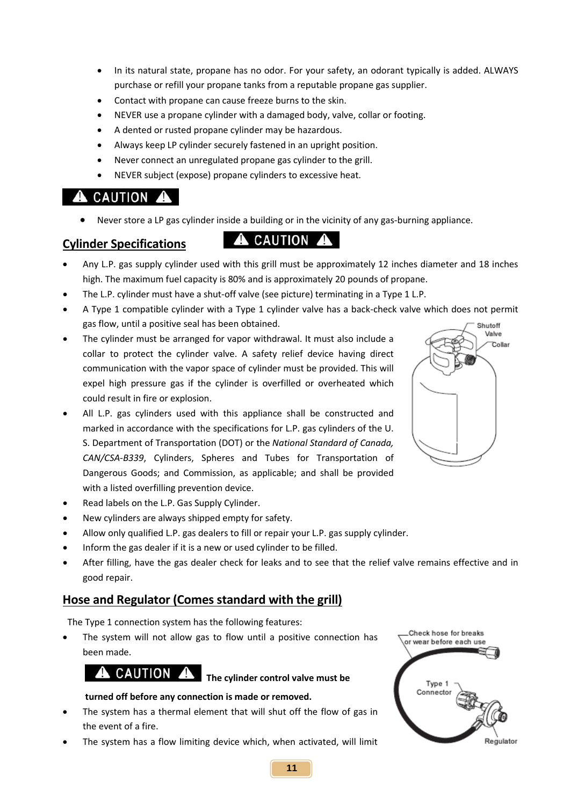- In its natural state, propane has no odor. For your safety, an odorant typically is added. ALWAYS purchase or refill your propane tanks from a reputable propane gas supplier.
- Contact with propane can cause freeze burns to the skin.
- NEVER use a propane cylinder with a damaged body, valve, collar or footing.
- A dented or rusted propane cylinder may be hazardous.
- Always keep LP cylinder securely fastened in an upright position.
- Never connect an unregulated propane gas cylinder to the grill.
- NEVER subject (expose) propane cylinders to excessive heat.

#### A CAUTION A

• Never store a LP gas cylinder inside a building or in the vicinity of any gas-burning appliance.

**A** CAUTION A

#### **Cylinder Specifications**

- Any L.P. gas supply cylinder used with this grill must be approximately 12 inches diameter and 18 inches high. The maximum fuel capacity is 80% and is approximately 20 pounds of propane.
- The L.P. cylinder must have a shut-off valve (see picture) terminating in a Type 1 L.P.
- A Type 1 compatible cylinder with a Type 1 cylinder valve has a back-check valve which does not permit gas flow, until a positive seal has been obtained. Shutoff
- The cylinder must be arranged for vapor withdrawal. It must also include a collar to protect the cylinder valve. A safety relief device having direct communication with the vapor space of cylinder must be provided. This will expel high pressure gas if the cylinder is overfilled or overheated which could result in fire or explosion.
- All L.P. gas cylinders used with this appliance shall be constructed and marked in accordance with the specifications for L.P. gas cylinders of the U. S. Department of Transportation (DOT) or the *National Standard of Canada, CAN/CSA-B339*, Cylinders, Spheres and Tubes for Transportation of Dangerous Goods; and Commission, as applicable; and shall be provided with a listed overfilling prevention device.
- Read labels on the L.P. Gas Supply Cylinder.
- New cylinders are always shipped empty for safety.
- Allow only qualified L.P. gas dealers to fill or repair your L.P. gas supply cylinder.
- Inform the gas dealer if it is a new or used cylinder to be filled.
- After filling, have the gas dealer check for leaks and to see that the relief valve remains effective and in good repair.

#### **Hose and Regulator (Comes standard with the grill)**

The Type 1 connection system has the following features:

The system will not allow gas to flow until a positive connection has been made.

### CAUTION **A** The cylinder control valve must be

#### **turned off before any connection is made or removed.**

- The system has a thermal element that will shut off the flow of gas in the event of a fire.
- The system has a flow limiting device which, when activated, will limit





**11**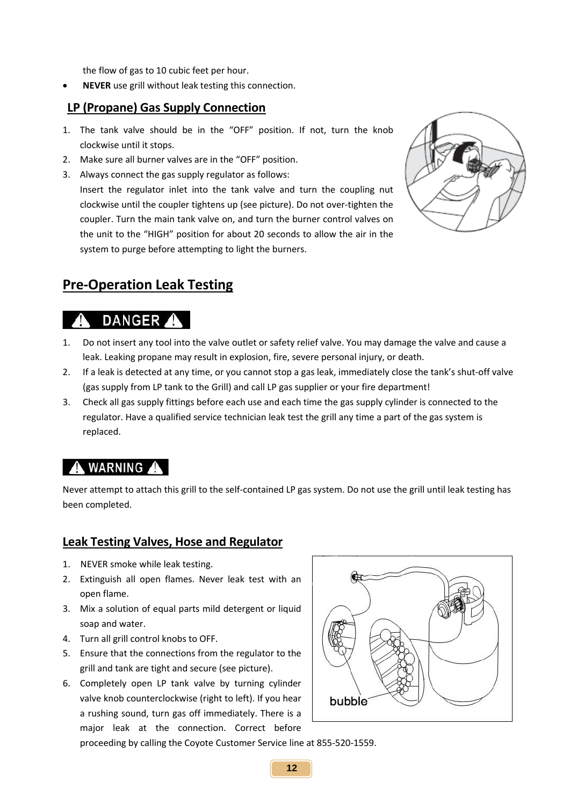the flow of gas to 10 cubic feet per hour.

• **NEVER** use grill without leak testing this connection.

#### **LP (Propane) Gas Supply Connection**

- 1. The tank valve should be in the "OFF" position. If not, turn the knob clockwise until it stops.
- 2. Make sure all burner valves are in the "OFF" position.
- 3. Always connect the gas supply regulator as follows:

Insert the regulator inlet into the tank valve and turn the coupling nut clockwise until the coupler tightens up (see picture). Do not over-tighten the coupler. Turn the main tank valve on, and turn the burner control valves on the unit to the "HIGH" position for about 20 seconds to allow the air in the system to purge before attempting to light the burners.



#### **Pre-Operation Leak Testing**

### **A** DANGER A

- 1. Do not insert any tool into the valve outlet or safety relief valve. You may damage the valve and cause a leak. Leaking propane may result in explosion, fire, severe personal injury, or death.
- 2. If a leak is detected at any time, or you cannot stop a gas leak, immediately close the tank's shut-off valve (gas supply from LP tank to the Grill) and call LP gas supplier or your fire department!
- 3. Check all gas supply fittings before each use and each time the gas supply cylinder is connected to the regulator. Have a qualified service technician leak test the grill any time a part of the gas system is replaced.

#### A WARNING A

Never attempt to attach this grill to the self-contained LP gas system. Do not use the grill until leak testing has been completed.

#### **Leak Testing Valves, Hose and Regulator**

- 1. NEVER smoke while leak testing.
- 2. Extinguish all open flames. Never leak test with an open flame.
- 3. Mix a solution of equal parts mild detergent or liquid soap and water.
- 4. Turn all grill control knobs to OFF.
- 5. Ensure that the connections from the regulator to the grill and tank are tight and secure (see picture).
- 6. Completely open LP tank valve by turning cylinder valve knob counterclockwise (right to left). If you hear a rushing sound, turn gas off immediately. There is a major leak at the connection. Correct before



proceeding by calling the Coyote Customer Service line at 855-520-1559.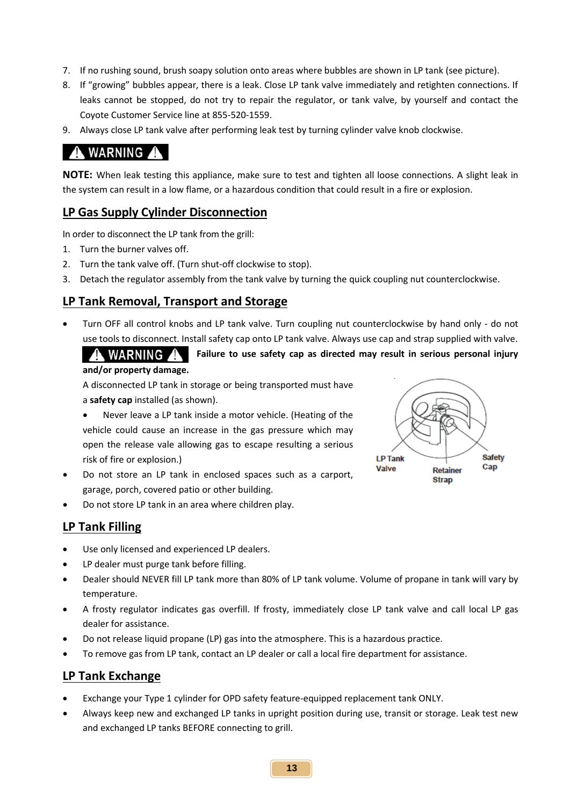- 7. If no rushing sound, brush soapy solution onto areas where bubbles are shown in LP tank (see picture).
- 8. If "growing" bubbles appear, there is a leak. Close LP tank valve immediately and retighten connections. If leaks cannot be stopped, do not try to repair the regulator, or tank valve, by yourself and contact the Coyote Customer Service line at 855-520-1559.
- 9. Always close LP tank valve after performing leak test by turning cylinder valve knob clockwise.

### A WARNING A

**NOTE:** When leak testing this appliance, make sure to test and tighten all loose connections. A slight leak in the system can result in a low flame, or a hazardous condition that could result in a fire or explosion.

#### **LP Gas Supply Cylinder Disconnection**

In order to disconnect the LP tank from the grill:

- 1. Turn the burner valves off.
- 2. Turn the tank valve off. (Turn shut-off clockwise to stop).
- 3. Detach the regulator assembly from the tank valve by turning the quick coupling nut counterclockwise.

#### **LP Tank Removal, Transport and Storage**

• Turn OFF all control knobs and LP tank valve. Turn coupling nut counterclockwise by hand only - do not use tools to disconnect. Install safety cap onto LP tank valve. Always use cap and strap supplied with valve.

**Failure to use safety cap as directed may result in serious personal injury and/or property damage.**

A disconnected LP tank in storage or being transported must have a **safety cap** installed (as shown).

- Never leave a LP tank inside a motor vehicle. (Heating of the vehicle could cause an increase in the gas pressure which may open the release vale allowing gas to escape resulting a serious risk of fire or explosion.)
- Do not store an LP tank in enclosed spaces such as a carport, garage, porch, covered patio or other building.
- Do not store LP tank in an area where children play.

#### **LP Tank Filling**

- Use only licensed and experienced LP dealers.
- LP dealer must purge tank before filling.
- Dealer should NEVER fill LP tank more than 80% of LP tank volume. Volume of propane in tank will vary by temperature.
- A frosty regulator indicates gas overfill. If frosty, immediately close LP tank valve and call local LP gas dealer for assistance.
- Do not release liquid propane (LP) gas into the atmosphere. This is a hazardous practice.
- To remove gas from LP tank, contact an LP dealer or call a local fire department for assistance.

#### **LP Tank Exchange**

- Exchange your Type 1 cylinder for OPD safety feature-equipped replacement tank ONLY.
- Always keep new and exchanged LP tanks in upright position during use, transit or storage. Leak test new and exchanged LP tanks BEFORE connecting to grill.

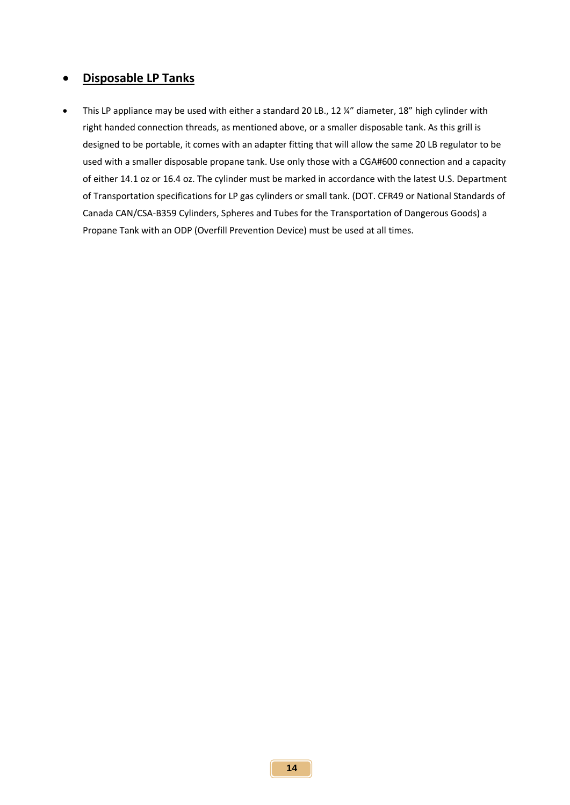#### • **Disposable LP Tanks**

• This LP appliance may be used with either a standard 20 LB., 12 ¼" diameter, 18" high cylinder with right handed connection threads, as mentioned above, or a smaller disposable tank. As this grill is designed to be portable, it comes with an adapter fitting that will allow the same 20 LB regulator to be used with a smaller disposable propane tank. Use only those with a CGA#600 connection and a capacity of either 14.1 oz or 16.4 oz. The cylinder must be marked in accordance with the latest U.S. Department of Transportation specifications for LP gas cylinders or small tank. (DOT. CFR49 or National Standards of Canada CAN/CSA-B359 Cylinders, Spheres and Tubes for the Transportation of Dangerous Goods) a Propane Tank with an ODP (Overfill Prevention Device) must be used at all times.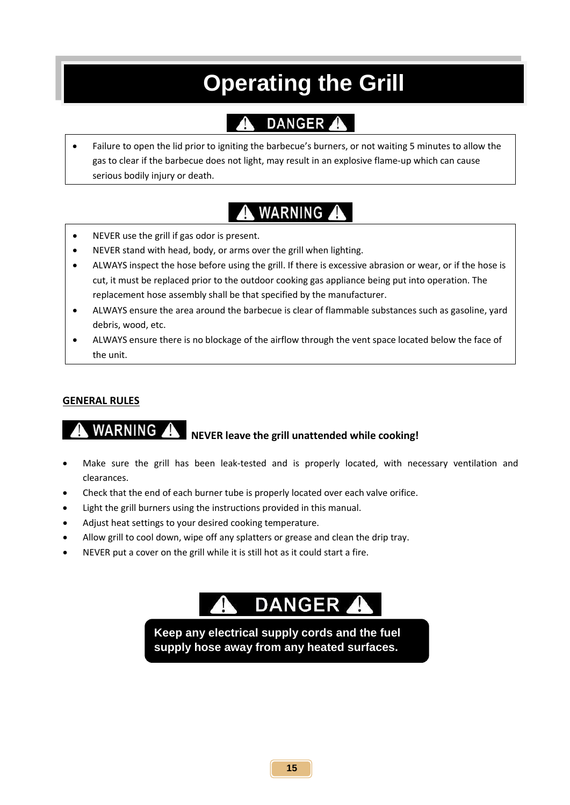## **Operating the Grill**

### DANGER A

Failure to open the lid prior to igniting the barbecue's burners, or not waiting 5 minutes to allow the gas to clear if the barbecue does not light, may result in an explosive flame-up which can cause serious bodily injury or death.

### A WARNING A

- NEVER use the grill if gas odor is present.
- NEVER stand with head, body, or arms over the grill when lighting.
- ALWAYS inspect the hose before using the grill. If there is excessive abrasion or wear, or if the hose is cut, it must be replaced prior to the outdoor cooking gas appliance being put into operation. The replacement hose assembly shall be that specified by the manufacturer.
- ALWAYS ensure the area around the barbecue is clear of flammable substances such as gasoline, yard debris, wood, etc.
- ALWAYS ensure there is no blockage of the airflow through the vent space located below the face of the unit.

#### **GENERAL RULES**

## **NEVER leave the grill unattended while cooking!**

- Make sure the grill has been leak-tested and is properly located, with necessary ventilation and clearances.
- Check that the end of each burner tube is properly located over each valve orifice.
- Light the grill burners using the instructions provided in this manual.
- Adjust heat settings to your desired cooking temperature.
- Allow grill to cool down, wipe off any splatters or grease and clean the drip tray.
- NEVER put a cover on the grill while it is still hot as it could start a fire.

### DANGER A

**Keep any electrical supply cords and the fuel supply hose away from any heated surfaces.**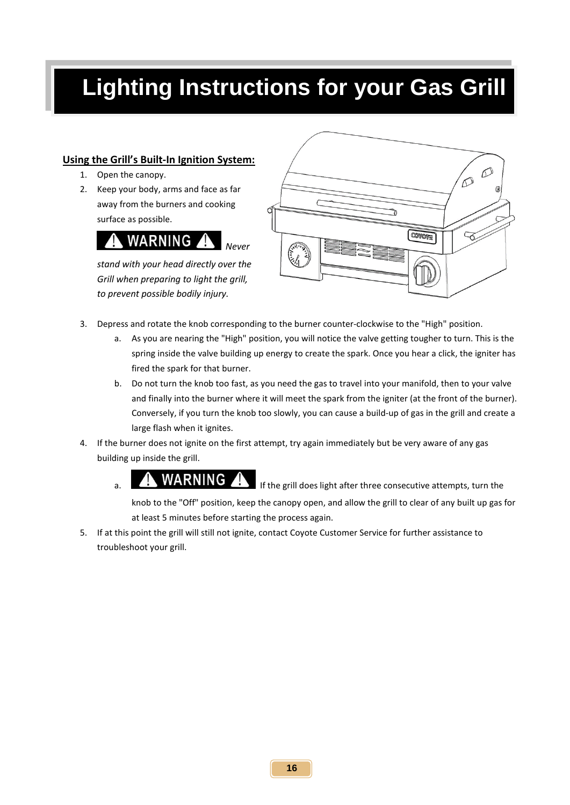## **Lighting Instructions for your Gas Grill**

#### **Using the Grill's Built-In Ignition System:**

- 1. Open the canopy.
- 2. Keep your body, arms and face as far away from the burners and cooking surface as possible.



*stand with your head directly over the Grill when preparing to light the grill, to prevent possible bodily injury.*



- 3. Depress and rotate the knob corresponding to the burner counter-clockwise to the "High" position.
	- a. As you are nearing the "High" position, you will notice the valve getting tougher to turn. This is the spring inside the valve building up energy to create the spark. Once you hear a click, the igniter has fired the spark for that burner.
	- b. Do not turn the knob too fast, as you need the gas to travel into your manifold, then to your valve and finally into the burner where it will meet the spark from the igniter (at the front of the burner). Conversely, if you turn the knob too slowly, you can cause a build-up of gas in the grill and create a large flash when it ignites.
- 4. If the burner does not ignite on the first attempt, try again immediately but be very aware of any gas building up inside the grill.



a. **IMPONING A** If the grill does light after three consecutive attempts, turn the

knob to the "Off" position, keep the canopy open, and allow the grill to clear of any built up gas for at least 5 minutes before starting the process again.

5. If at this point the grill will still not ignite, contact Coyote Customer Service for further assistance to troubleshoot your grill.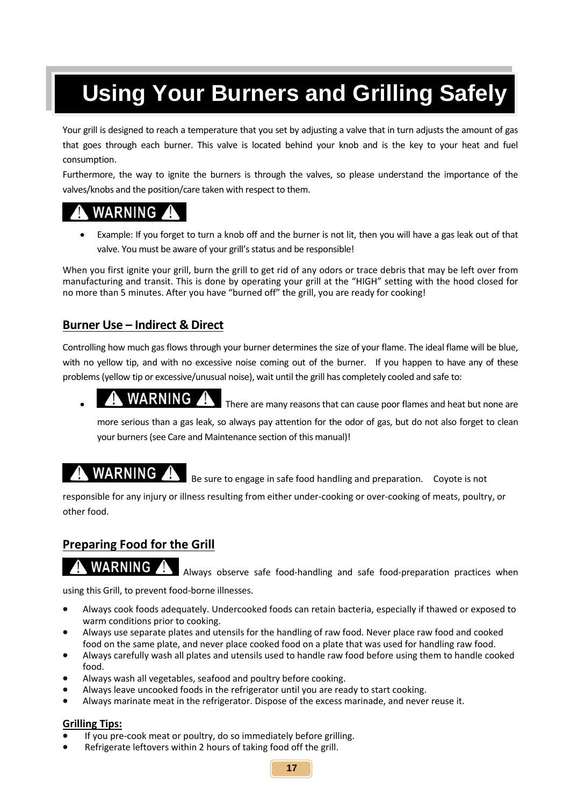## **Using Your Burners and Grilling Safely**

Your grill is designed to reach a temperature that you set by adjusting a valve that in turn adjusts the amount of gas that goes through each burner. This valve is located behind your knob and is the key to your heat and fuel consumption.

Furthermore, the way to ignite the burners is through the valves, so please understand the importance of the valves/knobs and the position/care taken with respect to them.

### WARNING **A**

• Example: If you forget to turn a knob off and the burner is not lit, then you will have a gas leak out of that valve. You must be aware of your grill's status and be responsible!

When you first ignite your grill, burn the grill to get rid of any odors or trace debris that may be left over from manufacturing and transit. This is done by operating your grill at the "HIGH" setting with the hood closed for no more than 5 minutes. After you have "burned off" the grill, you are ready for cooking!

#### **Burner Use – Indirect & Direct**

Controlling how much gas flows through your burner determines the size of your flame. The ideal flame will be blue, with no yellow tip, and with no excessive noise coming out of the burner. If you happen to have any of these problems (yellow tip or excessive/unusual noise), wait until the grill has completely cooled and safe to:

**WARNING A** There are many reasons that can cause poor flames and heat but none are

more serious than a gas leak, so always pay attention for the odor of gas, but do not also forget to clean your burners (see Care and Maintenance section of this manual)!

#### WARNING A Be sure to engage in safe food handling and preparation. Coyote is not

responsible for any injury or illness resulting from either under-cooking or over-cooking of meats, poultry, or other food.

#### **Preparing Food for the Grill**

**WARNING** Always observe safe food-handling and safe food-preparation practices when

using this Grill, to prevent food-borne illnesses.

- Always cook foods adequately. Undercooked foods can retain bacteria, especially if thawed or exposed to warm conditions prior to cooking.
- Always use separate plates and utensils for the handling of raw food. Never place raw food and cooked food on the same plate, and never place cooked food on a plate that was used for handling raw food.
- Always carefully wash all plates and utensils used to handle raw food before using them to handle cooked food.
- Always wash all vegetables, seafood and poultry before cooking.
- Always leave uncooked foods in the refrigerator until you are ready to start cooking.
- Always marinate meat in the refrigerator. Dispose of the excess marinade, and never reuse it.

#### **Grilling Tips:**

- If you pre-cook meat or poultry, do so immediately before grilling.
- Refrigerate leftovers within 2 hours of taking food off the grill.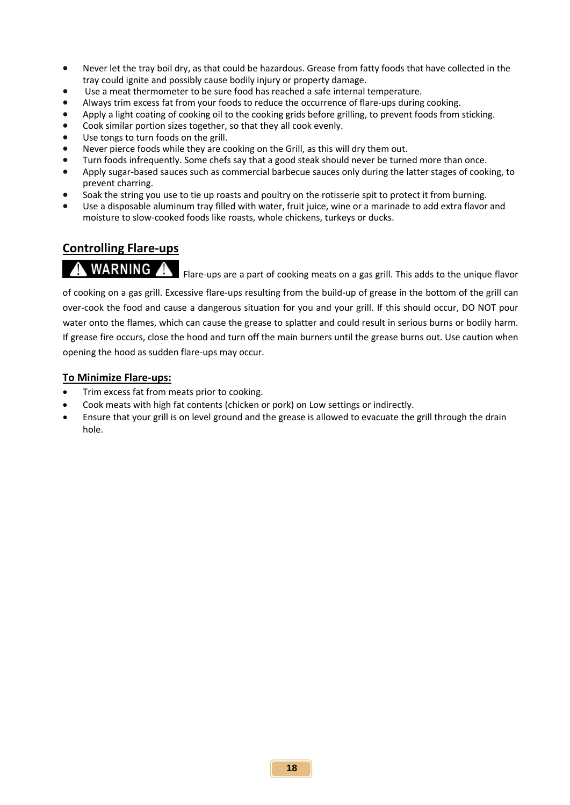- Never let the tray boil dry, as that could be hazardous. Grease from fatty foods that have collected in the tray could ignite and possibly cause bodily injury or property damage.
- Use a meat thermometer to be sure food has reached a safe internal temperature.
- Always trim excess fat from your foods to reduce the occurrence of flare-ups during cooking.
- Apply a light coating of cooking oil to the cooking grids before grilling, to prevent foods from sticking.
- Cook similar portion sizes together, so that they all cook evenly.
- Use tongs to turn foods on the grill.
- Never pierce foods while they are cooking on the Grill, as this will dry them out.
- Turn foods infrequently. Some chefs say that a good steak should never be turned more than once.
- Apply sugar-based sauces such as commercial barbecue sauces only during the latter stages of cooking, to prevent charring.
- Soak the string you use to tie up roasts and poultry on the rotisserie spit to protect it from burning.
- Use a disposable aluminum tray filled with water, fruit juice, wine or a marinade to add extra flavor and moisture to slow-cooked foods like roasts, whole chickens, turkeys or ducks.

#### **Controlling Flare-ups**

**A WARNING A** Flare-ups are a part of cooking meats on a gas grill. This adds to the unique flavor

of cooking on a gas grill. Excessive flare-ups resulting from the build-up of grease in the bottom of the grill can over-cook the food and cause a dangerous situation for you and your grill. If this should occur, DO NOT pour water onto the flames, which can cause the grease to splatter and could result in serious burns or bodily harm. If grease fire occurs, close the hood and turn off the main burners until the grease burns out. Use caution when opening the hood as sudden flare-ups may occur.

#### **To Minimize Flare-ups:**

- Trim excess fat from meats prior to cooking.
- Cook meats with high fat contents (chicken or pork) on Low settings or indirectly.
- Ensure that your grill is on level ground and the grease is allowed to evacuate the grill through the drain hole.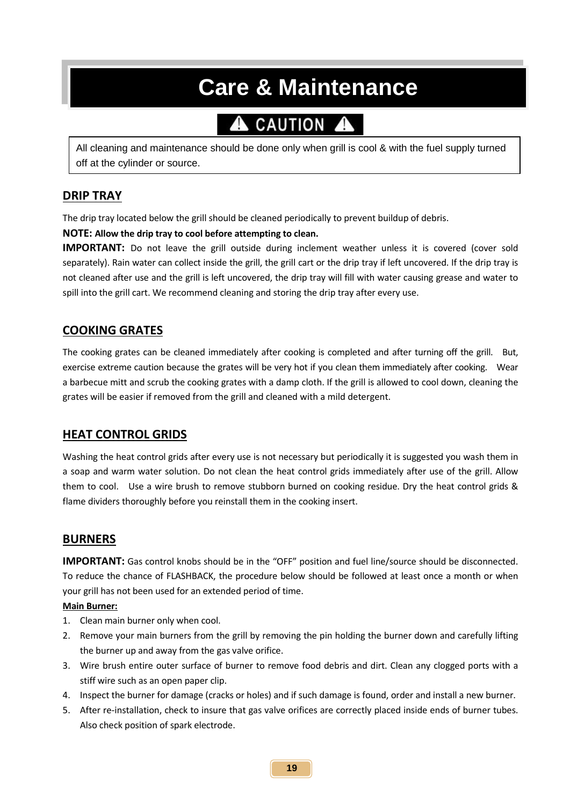## **Care & Maintenance**

## CAUTION A

All cleaning and maintenance should be done only when grill is cool & with the fuel supply turned off at the cylinder or source.

#### **DRIP TRAY**

The drip tray located below the grill should be cleaned periodically to prevent buildup of debris.

#### **NOTE: Allow the drip tray to cool before attempting to clean.**

**IMPORTANT:** Do not leave the grill outside during inclement weather unless it is covered (cover sold separately). Rain water can collect inside the grill, the grill cart or the drip tray if left uncovered. If the drip tray is not cleaned after use and the grill is left uncovered, the drip tray will fill with water causing grease and water to spill into the grill cart. We recommend cleaning and storing the drip tray after every use.

#### **COOKING GRATES**

The cooking grates can be cleaned immediately after cooking is completed and after turning off the grill. But, exercise extreme caution because the grates will be very hot if you clean them immediately after cooking. Wear a barbecue mitt and scrub the cooking grates with a damp cloth. If the grill is allowed to cool down, cleaning the grates will be easier if removed from the grill and cleaned with a mild detergent.

#### **HEAT CONTROL GRIDS**

Washing the heat control grids after every use is not necessary but periodically it is suggested you wash them in a soap and warm water solution. Do not clean the heat control grids immediately after use of the grill. Allow them to cool. Use a wire brush to remove stubborn burned on cooking residue. Dry the heat control grids & flame dividers thoroughly before you reinstall them in the cooking insert.

#### **BURNERS**

**IMPORTANT:** Gas control knobs should be in the "OFF" position and fuel line/source should be disconnected. To reduce the chance of FLASHBACK, the procedure below should be followed at least once a month or when your grill has not been used for an extended period of time.

#### **Main Burner:**

- 1. Clean main burner only when cool.
- 2. Remove your main burners from the grill by removing the pin holding the burner down and carefully lifting the burner up and away from the gas valve orifice.
- 3. Wire brush entire outer surface of burner to remove food debris and dirt. Clean any clogged ports with a stiff wire such as an open paper clip.
- 4. Inspect the burner for damage (cracks or holes) and if such damage is found, order and install a new burner.
- 5. After re-installation, check to insure that gas valve orifices are correctly placed inside ends of burner tubes. Also check position of spark electrode.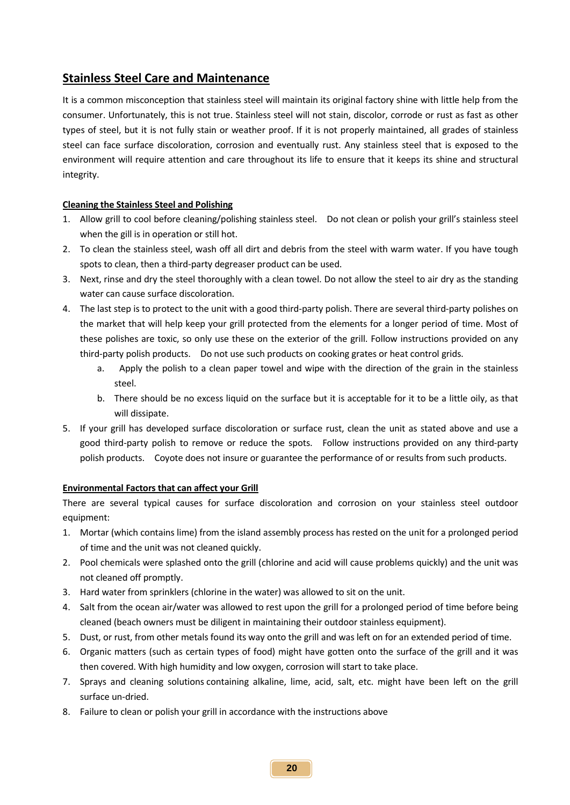#### **Stainless Steel Care and Maintenance**

It is a common misconception that stainless steel will maintain its original factory shine with little help from the consumer. Unfortunately, this is not true. Stainless steel will not stain, discolor, corrode or rust as fast as other types of steel, but it is not fully stain or weather proof. If it is not properly maintained, all grades of stainless steel can face surface discoloration, corrosion and eventually rust. Any stainless steel that is exposed to the environment will require attention and care throughout its life to ensure that it keeps its shine and structural integrity.

#### **Cleaning the Stainless Steel and Polishing**

- 1. Allow grill to cool before cleaning/polishing stainless steel. Do not clean or polish your grill's stainless steel when the gill is in operation or still hot.
- 2. To clean the stainless steel, wash off all dirt and debris from the steel with warm water. If you have tough spots to clean, then a third-party degreaser product can be used.
- 3. Next, rinse and dry the steel thoroughly with a clean towel. Do not allow the steel to air dry as the standing water can cause surface discoloration.
- 4. The last step is to protect to the unit with a good third-party polish. There are several third-party polishes on the market that will help keep your grill protected from the elements for a longer period of time. Most of these polishes are toxic, so only use these on the exterior of the grill. Follow instructions provided on any third-party polish products. Do not use such products on cooking grates or heat control grids.
	- a. Apply the polish to a clean paper towel and wipe with the direction of the grain in the stainless steel.
	- b. There should be no excess liquid on the surface but it is acceptable for it to be a little oily, as that will dissipate.
- 5. If your grill has developed surface discoloration or surface rust, clean the unit as stated above and use a good third-party polish to remove or reduce the spots. Follow instructions provided on any third-party polish products. Coyote does not insure or guarantee the performance of or results from such products.

#### **Environmental Factors that can affect your Grill**

There are several typical causes for surface discoloration and corrosion on your stainless steel outdoor equipment:

- 1. Mortar (which contains lime) from the island assembly process has rested on the unit for a prolonged period of time and the unit was not cleaned quickly.
- 2. Pool chemicals were splashed onto the grill (chlorine and acid will cause problems quickly) and the unit was not cleaned off promptly.
- 3. Hard water from sprinklers (chlorine in the water) was allowed to sit on the unit.
- 4. Salt from the ocean air/water was allowed to rest upon the grill for a prolonged period of time before being cleaned (beach owners must be diligent in maintaining their outdoor stainless equipment).
- 5. Dust, or rust, from other metals found its way onto the grill and was left on for an extended period of time.
- 6. Organic matters (such as certain types of food) might have gotten onto the surface of the grill and it was then covered. With high humidity and low oxygen, corrosion will start to take place.
- 7. Sprays and cleaning solutions containing alkaline, lime, acid, salt, etc. might have been left on the grill surface un-dried.
- 8. Failure to clean or polish your grill in accordance with the instructions above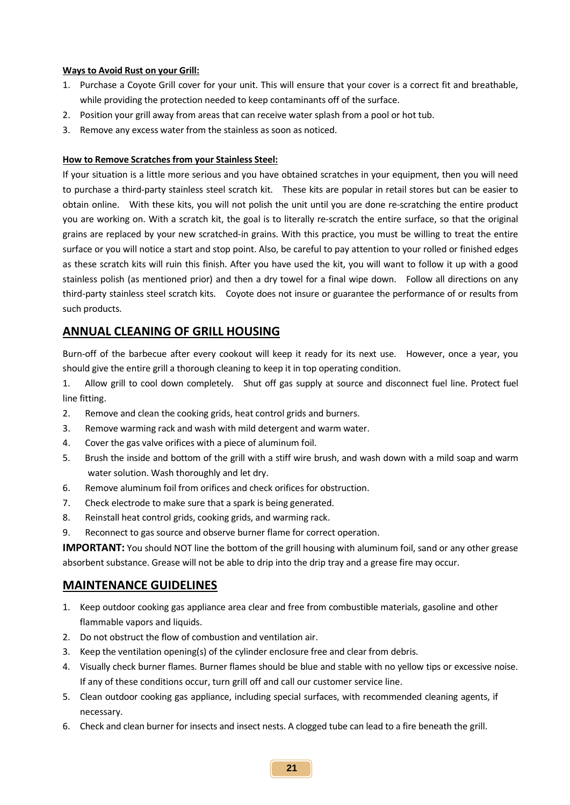#### **Ways to Avoid Rust on your Grill:**

- 1. Purchase a Coyote Grill cover for your unit. This will ensure that your cover is a correct fit and breathable, while providing the protection needed to keep contaminants off of the surface.
- 2. Position your grill away from areas that can receive water splash from a pool or hot tub.
- 3. Remove any excess water from the stainless as soon as noticed.

#### **How to Remove Scratches from your Stainless Steel:**

If your situation is a little more serious and you have obtained scratches in your equipment, then you will need to purchase a third-party stainless steel scratch kit. These kits are popular in retail stores but can be easier to obtain online. With these kits, you will not polish the unit until you are done re-scratching the entire product you are working on. With a scratch kit, the goal is to literally re-scratch the entire surface, so that the original grains are replaced by your new scratched-in grains. With this practice, you must be willing to treat the entire surface or you will notice a start and stop point. Also, be careful to pay attention to your rolled or finished edges as these scratch kits will ruin this finish. After you have used the kit, you will want to follow it up with a good stainless polish (as mentioned prior) and then a dry towel for a final wipe down. Follow all directions on any third-party stainless steel scratch kits. Coyote does not insure or guarantee the performance of or results from such products.

#### **ANNUAL CLEANING OF GRILL HOUSING**

Burn-off of the barbecue after every cookout will keep it ready for its next use. However, once a year, you should give the entire grill a thorough cleaning to keep it in top operating condition.

1. Allow grill to cool down completely. Shut off gas supply at source and disconnect fuel line. Protect fuel line fitting.

- 2. Remove and clean the cooking grids, heat control grids and burners.
- 3. Remove warming rack and wash with mild detergent and warm water.
- 4. Cover the gas valve orifices with a piece of aluminum foil.
- 5. Brush the inside and bottom of the grill with a stiff wire brush, and wash down with a mild soap and warm water solution. Wash thoroughly and let dry.
- 6. Remove aluminum foil from orifices and check orifices for obstruction.
- 7. Check electrode to make sure that a spark is being generated.
- 8. Reinstall heat control grids, cooking grids, and warming rack.
- 9. Reconnect to gas source and observe burner flame for correct operation.

**IMPORTANT:** You should NOT line the bottom of the grill housing with aluminum foil, sand or any other grease absorbent substance. Grease will not be able to drip into the drip tray and a grease fire may occur.

#### **MAINTENANCE GUIDELINES**

- 1. Keep outdoor cooking gas appliance area clear and free from combustible materials, gasoline and other flammable vapors and liquids.
- 2. Do not obstruct the flow of combustion and ventilation air.
- 3. Keep the ventilation opening(s) of the cylinder enclosure free and clear from debris.
- 4. Visually check burner flames. Burner flames should be blue and stable with no yellow tips or excessive noise. If any of these conditions occur, turn grill off and call our customer service line.
- 5. Clean outdoor cooking gas appliance, including special surfaces, with recommended cleaning agents, if necessary.
- 6. Check and clean burner for insects and insect nests. A clogged tube can lead to a fire beneath the grill.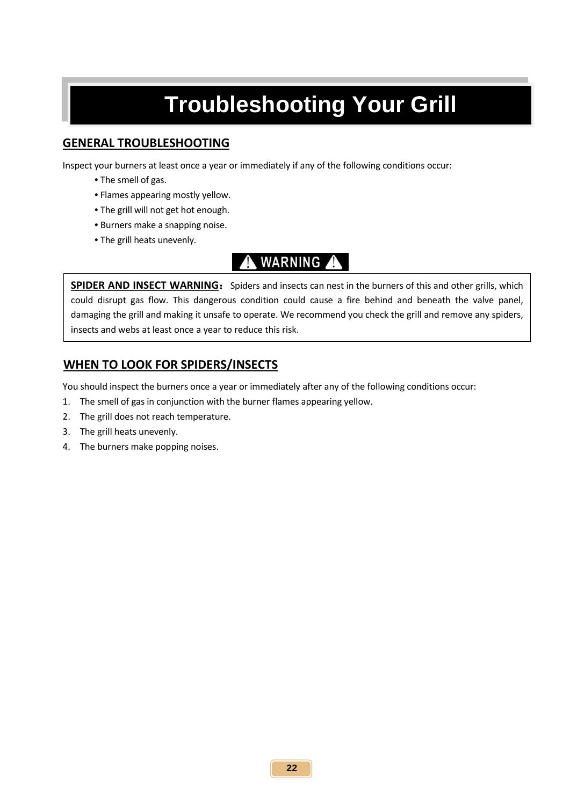## **Troubleshooting Your Grill**

#### **GENERAL TROUBLESHOOTING**

Inspect your burners at least once a year or immediately if any of the following conditions occur:

- The smell of gas.
- Flames appearing mostly yellow.
- The grill will not get hot enough.
- Burners make a snapping noise.
- The grill heats unevenly.

### A WARNING A

**SPIDER AND INSECT WARNING:** Spiders and insects can nest in the burners of this and other grills, which could disrupt gas flow. This dangerous condition could cause a fire behind and beneath the valve panel, damaging the grill and making it unsafe to operate. We recommend you check the grill and remove any spiders, insects and webs at least once a year to reduce this risk.

#### **WHEN TO LOOK FOR SPIDERS/INSECTS**

You should inspect the burners once a year or immediately after any of the following conditions occur:

- 1. The smell of gas in conjunction with the burner flames appearing yellow.
- 2. The grill does not reach temperature.
- 3. The grill heats unevenly.
- 4. The burners make popping noises.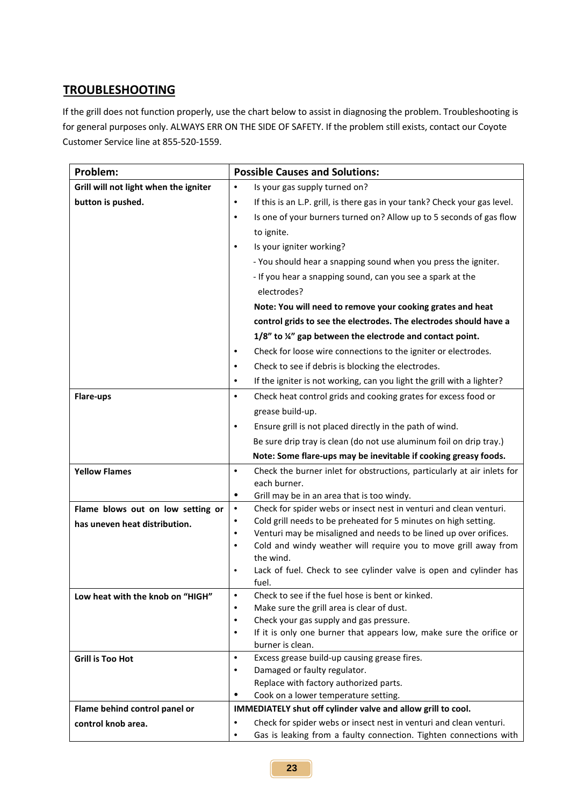#### **TROUBLESHOOTING**

If the grill does not function properly, use the chart below to assist in diagnosing the problem. Troubleshooting is for general purposes only. ALWAYS ERR ON THE SIDE OF SAFETY. If the problem still exists, contact our Coyote Customer Service line at 855-520-1559.

| Problem:                              | <b>Possible Causes and Solutions:</b>                                                        |  |  |  |
|---------------------------------------|----------------------------------------------------------------------------------------------|--|--|--|
| Grill will not light when the igniter | Is your gas supply turned on?<br>$\bullet$                                                   |  |  |  |
| button is pushed.                     | If this is an L.P. grill, is there gas in your tank? Check your gas level.<br>$\bullet$      |  |  |  |
|                                       | Is one of your burners turned on? Allow up to 5 seconds of gas flow<br>$\bullet$             |  |  |  |
|                                       | to ignite.                                                                                   |  |  |  |
|                                       | Is your igniter working?<br>$\bullet$                                                        |  |  |  |
|                                       |                                                                                              |  |  |  |
|                                       | - You should hear a snapping sound when you press the igniter.                               |  |  |  |
|                                       | - If you hear a snapping sound, can you see a spark at the                                   |  |  |  |
|                                       | electrodes?                                                                                  |  |  |  |
|                                       | Note: You will need to remove your cooking grates and heat                                   |  |  |  |
|                                       | control grids to see the electrodes. The electrodes should have a                            |  |  |  |
|                                       | 1/8" to ¼" gap between the electrode and contact point.                                      |  |  |  |
|                                       | Check for loose wire connections to the igniter or electrodes.<br>$\bullet$                  |  |  |  |
|                                       | Check to see if debris is blocking the electrodes.<br>$\bullet$                              |  |  |  |
|                                       | If the igniter is not working, can you light the grill with a lighter?<br>$\bullet$          |  |  |  |
| <b>Flare-ups</b>                      | Check heat control grids and cooking grates for excess food or<br>$\bullet$                  |  |  |  |
|                                       | grease build-up.                                                                             |  |  |  |
|                                       | Ensure grill is not placed directly in the path of wind.<br>$\bullet$                        |  |  |  |
|                                       | Be sure drip tray is clean (do not use aluminum foil on drip tray.)                          |  |  |  |
|                                       | Note: Some flare-ups may be inevitable if cooking greasy foods.                              |  |  |  |
| <b>Yellow Flames</b>                  | Check the burner inlet for obstructions, particularly at air inlets for<br>$\bullet$         |  |  |  |
|                                       | each burner.                                                                                 |  |  |  |
|                                       | $\bullet$<br>Grill may be in an area that is too windy.                                      |  |  |  |
| Flame blows out on low setting or     | Check for spider webs or insect nest in venturi and clean venturi.<br>$\bullet$              |  |  |  |
| has uneven heat distribution.         | Cold grill needs to be preheated for 5 minutes on high setting.<br>$\bullet$                 |  |  |  |
|                                       | Venturi may be misaligned and needs to be lined up over orifices.<br>$\bullet$               |  |  |  |
|                                       | Cold and windy weather will require you to move grill away from<br>٠                         |  |  |  |
|                                       | the wind.<br>Lack of fuel. Check to see cylinder valve is open and cylinder has<br>$\bullet$ |  |  |  |
|                                       | fuel.                                                                                        |  |  |  |
| Low heat with the knob on "HIGH"      | Check to see if the fuel hose is bent or kinked.<br>٠                                        |  |  |  |
|                                       | Make sure the grill area is clear of dust.                                                   |  |  |  |
|                                       | Check your gas supply and gas pressure.<br>$\bullet$                                         |  |  |  |
|                                       | If it is only one burner that appears low, make sure the orifice or<br>٠                     |  |  |  |
|                                       | burner is clean.                                                                             |  |  |  |
| <b>Grill is Too Hot</b>               | Excess grease build-up causing grease fires.<br>$\bullet$                                    |  |  |  |
|                                       | Damaged or faulty regulator.<br>٠                                                            |  |  |  |
|                                       | Replace with factory authorized parts.<br>Cook on a lower temperature setting.               |  |  |  |
| Flame behind control panel or         | IMMEDIATELY shut off cylinder valve and allow grill to cool.                                 |  |  |  |
| control knob area.                    | Check for spider webs or insect nest in venturi and clean venturi.<br>$\bullet$              |  |  |  |
|                                       | Gas is leaking from a faulty connection. Tighten connections with                            |  |  |  |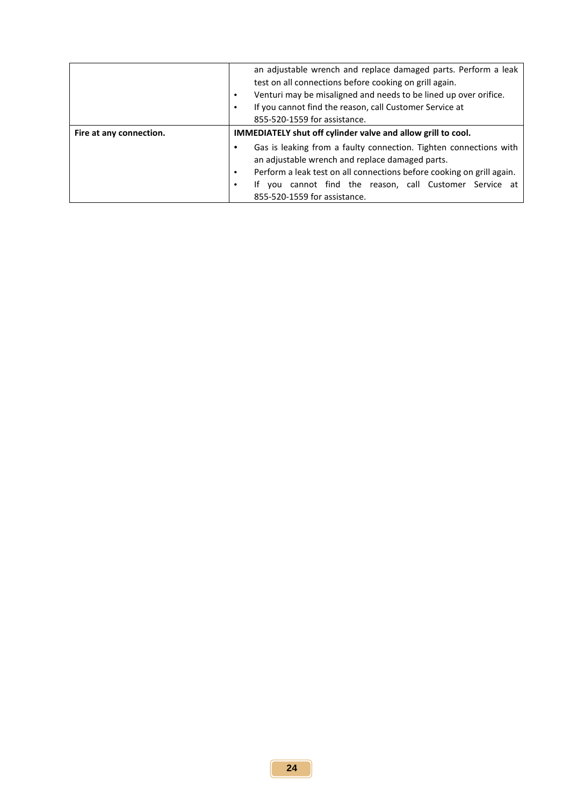|                         | an adjustable wrench and replace damaged parts. Perform a leak<br>test on all connections before cooking on grill again.<br>Venturi may be misaligned and needs to be lined up over orifice.<br>If you cannot find the reason, call Customer Service at<br>٠ |  |  |  |  |
|-------------------------|--------------------------------------------------------------------------------------------------------------------------------------------------------------------------------------------------------------------------------------------------------------|--|--|--|--|
|                         | 855-520-1559 for assistance.                                                                                                                                                                                                                                 |  |  |  |  |
| Fire at any connection. | <b>IMMEDIATELY shut off cylinder valve and allow grill to cool.</b>                                                                                                                                                                                          |  |  |  |  |
|                         | Gas is leaking from a faulty connection. Tighten connections with                                                                                                                                                                                            |  |  |  |  |
|                         | an adjustable wrench and replace damaged parts.                                                                                                                                                                                                              |  |  |  |  |
|                         | Perform a leak test on all connections before cooking on grill again.<br>٠                                                                                                                                                                                   |  |  |  |  |
|                         | you cannot find the reason, call Customer Service at                                                                                                                                                                                                         |  |  |  |  |
|                         | 855-520-1559 for assistance.                                                                                                                                                                                                                                 |  |  |  |  |